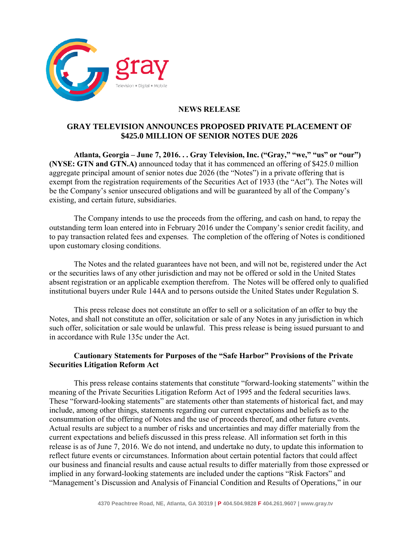

## **NEWS RELEASE**

## **GRAY TELEVISION ANNOUNCES PROPOSED PRIVATE PLACEMENT OF \$425.0 MILLION OF SENIOR NOTES DUE 2026**

**Atlanta, Georgia – June 7, 2016. . . Gray Television, Inc. ("Gray," "we," "us" or "our") (NYSE: GTN and GTN.A)** announced today that it has commenced an offering of \$425.0 million aggregate principal amount of senior notes due 2026 (the "Notes") in a private offering that is exempt from the registration requirements of the Securities Act of 1933 (the "Act"). The Notes will be the Company's senior unsecured obligations and will be guaranteed by all of the Company's existing, and certain future, subsidiaries.

The Company intends to use the proceeds from the offering, and cash on hand, to repay the outstanding term loan entered into in February 2016 under the Company's senior credit facility, and to pay transaction related fees and expenses. The completion of the offering of Notes is conditioned upon customary closing conditions.

The Notes and the related guarantees have not been, and will not be, registered under the Act or the securities laws of any other jurisdiction and may not be offered or sold in the United States absent registration or an applicable exemption therefrom. The Notes will be offered only to qualified institutional buyers under Rule 144A and to persons outside the United States under Regulation S.

This press release does not constitute an offer to sell or a solicitation of an offer to buy the Notes, and shall not constitute an offer, solicitation or sale of any Notes in any jurisdiction in which such offer, solicitation or sale would be unlawful. This press release is being issued pursuant to and in accordance with Rule 135c under the Act.

## **Cautionary Statements for Purposes of the "Safe Harbor" Provisions of the Private Securities Litigation Reform Act**

This press release contains statements that constitute "forward-looking statements" within the meaning of the Private Securities Litigation Reform Act of 1995 and the federal securities laws. These "forward-looking statements" are statements other than statements of historical fact, and may include, among other things, statements regarding our current expectations and beliefs as to the consummation of the offering of Notes and the use of proceeds thereof, and other future events. Actual results are subject to a number of risks and uncertainties and may differ materially from the current expectations and beliefs discussed in this press release. All information set forth in this release is as of June 7, 2016. We do not intend, and undertake no duty, to update this information to reflect future events or circumstances. Information about certain potential factors that could affect our business and financial results and cause actual results to differ materially from those expressed or implied in any forward-looking statements are included under the captions "Risk Factors" and "Management's Discussion and Analysis of Financial Condition and Results of Operations," in our